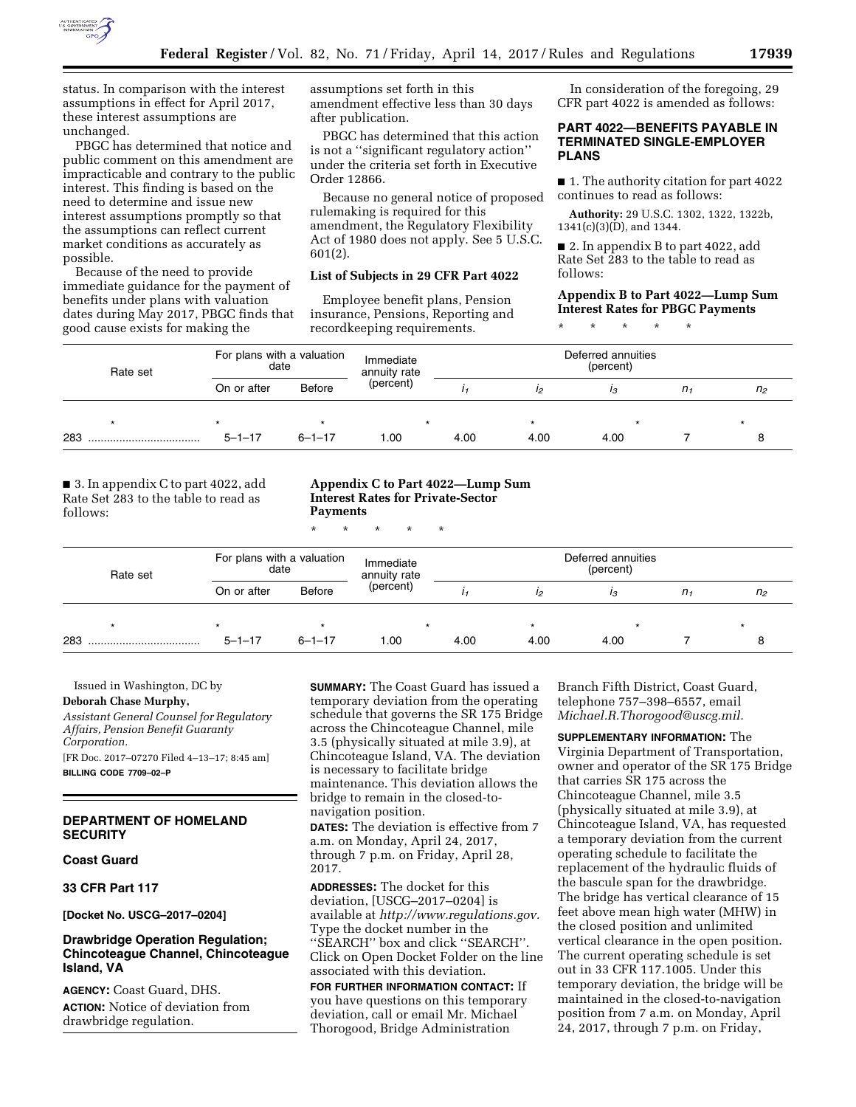

status. In comparison with the interest assumptions in effect for April 2017, these interest assumptions are unchanged.

PBGC has determined that notice and public comment on this amendment are impracticable and contrary to the public interest. This finding is based on the need to determine and issue new interest assumptions promptly so that the assumptions can reflect current market conditions as accurately as possible.

Because of the need to provide immediate guidance for the payment of benefits under plans with valuation dates during May 2017, PBGC finds that good cause exists for making the

assumptions set forth in this amendment effective less than 30 days after publication.

PBGC has determined that this action is not a ''significant regulatory action'' under the criteria set forth in Executive Order 12866.

Because no general notice of proposed rulemaking is required for this amendment, the Regulatory Flexibility Act of 1980 does not apply. See 5 U.S.C. 601(2).

#### **List of Subjects in 29 CFR Part 4022**

Employee benefit plans, Pension insurance, Pensions, Reporting and recordkeeping requirements.

In consideration of the foregoing, 29 CFR part 4022 is amended as follows:

## **PART 4022—BENEFITS PAYABLE IN TERMINATED SINGLE-EMPLOYER PLANS**

■ 1. The authority citation for part 4022 continues to read as follows:

**Authority:** 29 U.S.C. 1302, 1322, 1322b, 1341(c)(3)(D), and 1344.

■ 2. In appendix B to part 4022, add Rate Set 283 to the table to read as follows:

# **Appendix B to Part 4022—Lump Sum Interest Rates for PBGC Payments**

\* \* \* \* \*

| Rate set | For plans with a valuation<br>date |              | Immediate<br>annuity rate | Deferred annuities<br>(percent) |      |      |                |                |
|----------|------------------------------------|--------------|---------------------------|---------------------------------|------|------|----------------|----------------|
|          | On or after                        | Before       | (percent)                 |                                 |      | I3   | n <sub>1</sub> | n <sub>2</sub> |
|          |                                    |              |                           |                                 |      |      |                |                |
| 283      | $5 - 1 - 17$                       | $6 - 1 - 17$ | 1.00                      | 4.00                            | 4.00 | 4.00 |                |                |

■ 3. In appendix C to part 4022, add Rate Set 283 to the table to read as follows:

## **Appendix C to Part 4022—Lump Sum Interest Rates for Private-Sector Payments**

\* \* \* \* \*

| Rate set | For plans with a valuation<br>date |               | Immediate<br>annuity rate | Deferred annuities<br>(percent) |      |      |    |                |
|----------|------------------------------------|---------------|---------------------------|---------------------------------|------|------|----|----------------|
|          | On or after                        | <b>Before</b> | (percent)                 |                                 | 12   | ıз   | n, | n <sub>2</sub> |
|          |                                    |               |                           |                                 |      |      |    |                |
| 283      | $5 - 1 - 17$                       | $6 - 1 - 17$  | 1.00                      | 4.00                            | 4.00 | 4.00 |    |                |

Issued in Washington, DC by

### **Deborah Chase Murphy,**

*Assistant General Counsel for Regulatory Affairs, Pension Benefit Guaranty Corporation.* 

[FR Doc. 2017–07270 Filed 4–13–17; 8:45 am] **BILLING CODE 7709–02–P** 

# **DEPARTMENT OF HOMELAND SECURITY**

# **Coast Guard**

**33 CFR Part 117** 

**[Docket No. USCG–2017–0204]** 

# **Drawbridge Operation Regulation; Chincoteague Channel, Chincoteague Island, VA**

**AGENCY:** Coast Guard, DHS. **ACTION:** Notice of deviation from drawbridge regulation.

**SUMMARY:** The Coast Guard has issued a temporary deviation from the operating schedule that governs the SR 175 Bridge across the Chincoteague Channel, mile 3.5 (physically situated at mile 3.9), at Chincoteague Island, VA. The deviation is necessary to facilitate bridge maintenance. This deviation allows the bridge to remain in the closed-tonavigation position.

**DATES:** The deviation is effective from 7 a.m. on Monday, April 24, 2017, through 7 p.m. on Friday, April 28, 2017.

**ADDRESSES:** The docket for this deviation, [USCG–2017–0204] is available at *[http://www.regulations.gov.](http://www.regulations.gov)*  Type the docket number in the ''SEARCH'' box and click ''SEARCH''. Click on Open Docket Folder on the line associated with this deviation.

**FOR FURTHER INFORMATION CONTACT:** If you have questions on this temporary deviation, call or email Mr. Michael Thorogood, Bridge Administration

Branch Fifth District, Coast Guard, telephone 757–398–6557, email *[Michael.R.Thorogood@uscg.mil.](mailto:Michael.R.Thorogood@uscg.mil)* 

## **SUPPLEMENTARY INFORMATION:** The

Virginia Department of Transportation, owner and operator of the SR 175 Bridge that carries SR 175 across the Chincoteague Channel, mile 3.5 (physically situated at mile 3.9), at Chincoteague Island, VA, has requested a temporary deviation from the current operating schedule to facilitate the replacement of the hydraulic fluids of the bascule span for the drawbridge. The bridge has vertical clearance of 15 feet above mean high water (MHW) in the closed position and unlimited vertical clearance in the open position. The current operating schedule is set out in 33 CFR 117.1005. Under this temporary deviation, the bridge will be maintained in the closed-to-navigation position from 7 a.m. on Monday, April 24, 2017, through 7 p.m. on Friday,